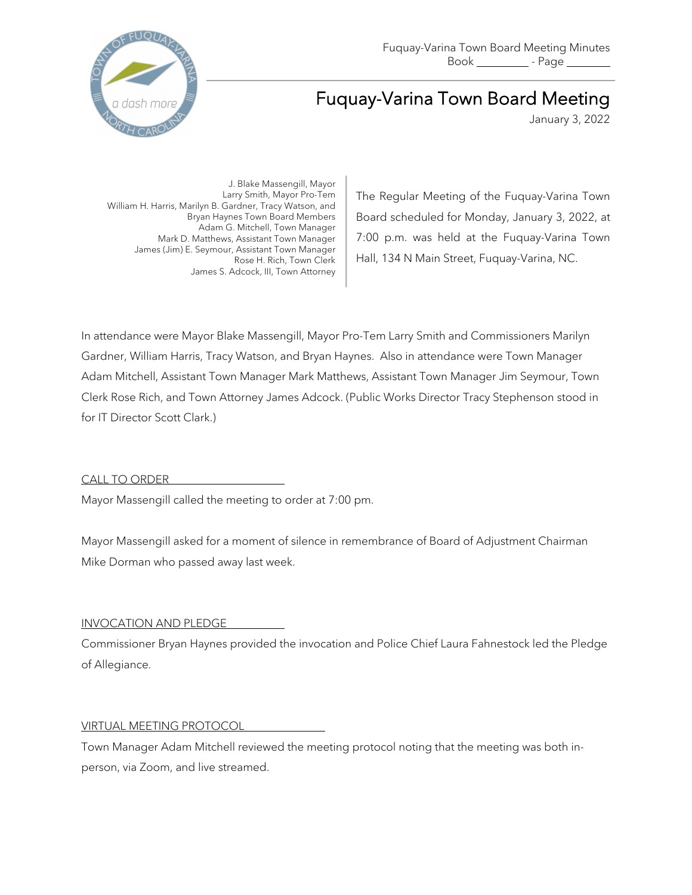

# Fuquay-Varina Town Board Meeting

January 3, 2022

J. Blake Massengill, Mayor Larry Smith, Mayor Pro-Tem William H. Harris, Marilyn B. Gardner, Tracy Watson, and Bryan Haynes Town Board Members Adam G. Mitchell, Town Manager Mark D. Matthews, Assistant Town Manager James (Jim) E. Seymour, Assistant Town Manager Rose H. Rich, Town Clerk James S. Adcock, III, Town Attorney

The Regular Meeting of the Fuquay-Varina Town Board scheduled for Monday, January 3, 2022, at 7:00 p.m. was held at the Fuquay-Varina Town Hall, 134 N Main Street, Fuquay-Varina, NC.

In attendance were Mayor Blake Massengill, Mayor Pro-Tem Larry Smith and Commissioners Marilyn Gardner, William Harris, Tracy Watson, and Bryan Haynes. Also in attendance were Town Manager Adam Mitchell, Assistant Town Manager Mark Matthews, Assistant Town Manager Jim Seymour, Town Clerk Rose Rich, and Town Attorney James Adcock. (Public Works Director Tracy Stephenson stood in for IT Director Scott Clark.)

# CALL TO ORDER

Mayor Massengill called the meeting to order at 7:00 pm.

Mayor Massengill asked for a moment of silence in remembrance of Board of Adjustment Chairman Mike Dorman who passed away last week.

## INVOCATION AND PLEDGE

Commissioner Bryan Haynes provided the invocation and Police Chief Laura Fahnestock led the Pledge of Allegiance.

## VIRTUAL MEETING PROTOCOL

Town Manager Adam Mitchell reviewed the meeting protocol noting that the meeting was both inperson, via Zoom, and live streamed.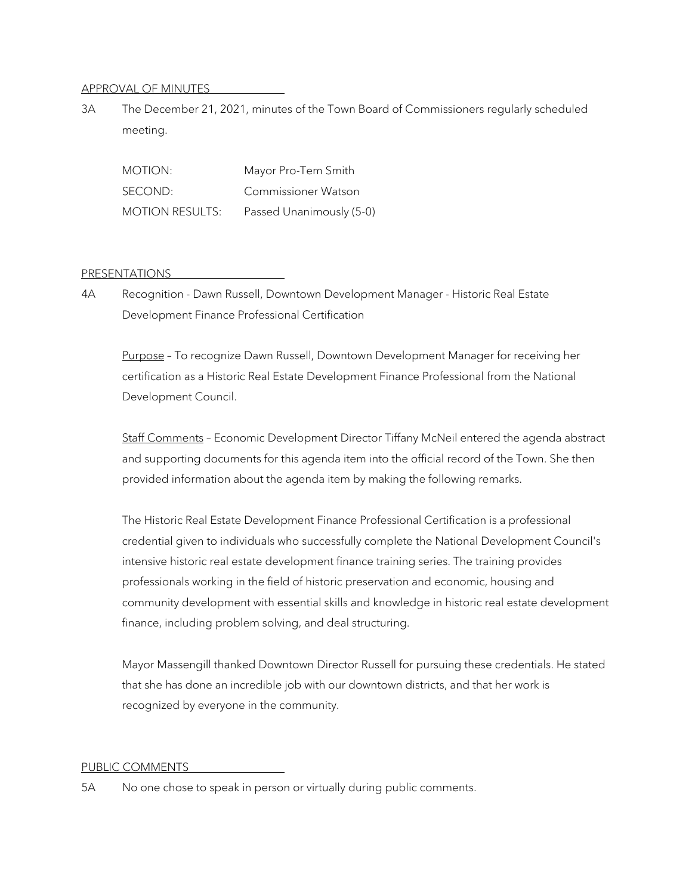## APPROVAL OF MINUTES

3A The December 21, 2021, minutes of the Town Board of Commissioners regularly scheduled meeting.

| MOTION:                | Mayor Pro-Tem Smith      |
|------------------------|--------------------------|
| SECOND:                | Commissioner Watson      |
| <b>MOTION RESULTS:</b> | Passed Unanimously (5-0) |

## PRESENTATIONS

4A Recognition - Dawn Russell, Downtown Development Manager - Historic Real Estate Development Finance Professional Certification

Purpose – To recognize Dawn Russell, Downtown Development Manager for receiving her certification as a Historic Real Estate Development Finance Professional from the National Development Council.

Staff Comments – Economic Development Director Tiffany McNeil entered the agenda abstract and supporting documents for this agenda item into the official record of the Town. She then provided information about the agenda item by making the following remarks.

The Historic Real Estate Development Finance Professional Certification is a professional credential given to individuals who successfully complete the National Development Council's intensive historic real estate development finance training series. The training provides professionals working in the field of historic preservation and economic, housing and community development with essential skills and knowledge in historic real estate development finance, including problem solving, and deal structuring.

Mayor Massengill thanked Downtown Director Russell for pursuing these credentials. He stated that she has done an incredible job with our downtown districts, and that her work is recognized by everyone in the community.

## PUBLIC COMMENTS

5A No one chose to speak in person or virtually during public comments.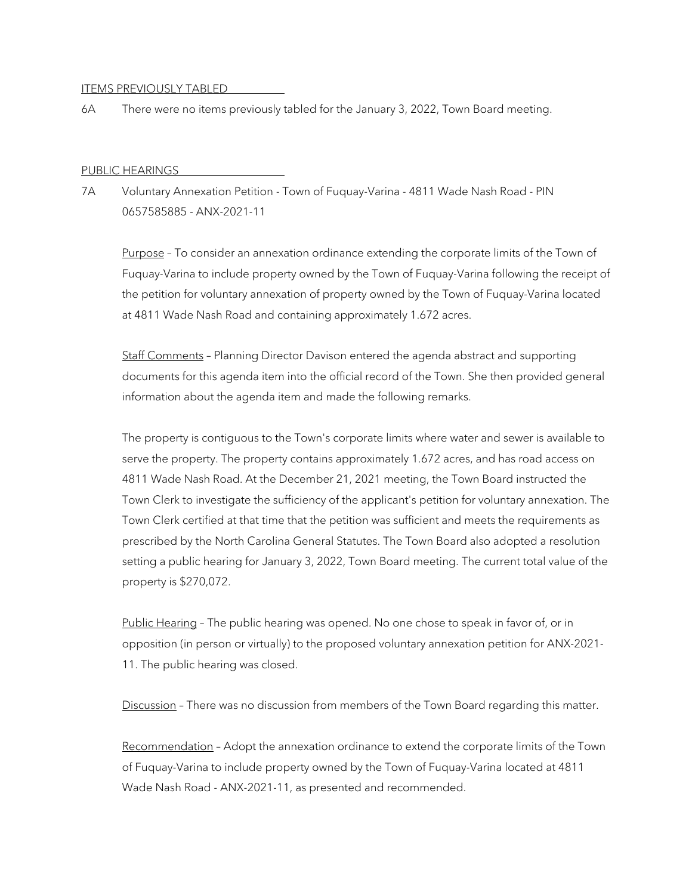#### ITEMS PREVIOUSLY TABLED

6A There were no items previously tabled for the January 3, 2022, Town Board meeting.

#### PUBLIC HEARINGS

7A Voluntary Annexation Petition - Town of Fuquay-Varina - 4811 Wade Nash Road - PIN 0657585885 - ANX-2021-11

Purpose - To consider an annexation ordinance extending the corporate limits of the Town of Fuquay-Varina to include property owned by the Town of Fuquay-Varina following the receipt of the petition for voluntary annexation of property owned by the Town of Fuquay-Varina located at 4811 Wade Nash Road and containing approximately 1.672 acres.

Staff Comments – Planning Director Davison entered the agenda abstract and supporting documents for this agenda item into the official record of the Town. She then provided general information about the agenda item and made the following remarks.

The property is contiguous to the Town's corporate limits where water and sewer is available to serve the property. The property contains approximately 1.672 acres, and has road access on 4811 Wade Nash Road. At the December 21, 2021 meeting, the Town Board instructed the Town Clerk to investigate the sufficiency of the applicant's petition for voluntary annexation. The Town Clerk certified at that time that the petition was sufficient and meets the requirements as prescribed by the North Carolina General Statutes. The Town Board also adopted a resolution setting a public hearing for January 3, 2022, Town Board meeting. The current total value of the property is \$270,072.

Public Hearing – The public hearing was opened. No one chose to speak in favor of, or in opposition (in person or virtually) to the proposed voluntary annexation petition for ANX-2021- 11. The public hearing was closed.

Discussion - There was no discussion from members of the Town Board regarding this matter.

Recommendation – Adopt the annexation ordinance to extend the corporate limits of the Town of Fuquay-Varina to include property owned by the Town of Fuquay-Varina located at 4811 Wade Nash Road - ANX-2021-11, as presented and recommended.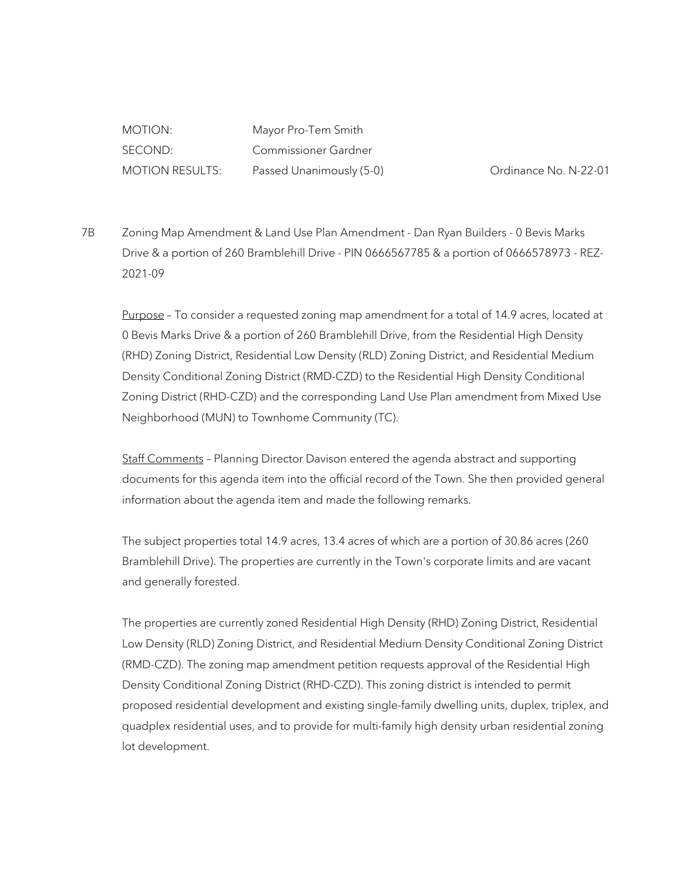MOTION: Mayor Pro-Tem Smith SECOND: Commissioner Gardner MOTION RESULTS: Passed Unanimously (5-0) Crdinance No. N-22-01

7B Zoning Map Amendment & Land Use Plan Amendment - Dan Ryan Builders - 0 Bevis Marks Drive & a portion of 260 Bramblehill Drive - PIN 0666567785 & a portion of 0666578973 - REZ-2021-09

Purpose - To consider a requested zoning map amendment for a total of 14.9 acres, located at 0 Bevis Marks Drive & a portion of 260 Bramblehill Drive, from the Residential High Density (RHD) Zoning District, Residential Low Density (RLD) Zoning District, and Residential Medium Density Conditional Zoning District (RMD-CZD) to the Residential High Density Conditional Zoning District (RHD-CZD) and the corresponding Land Use Plan amendment from Mixed Use Neighborhood (MUN) to Townhome Community (TC).

Staff Comments – Planning Director Davison entered the agenda abstract and supporting documents for this agenda item into the official record of the Town. She then provided general information about the agenda item and made the following remarks.

The subject properties total 14.9 acres, 13.4 acres of which are a portion of 30.86 acres (260 Bramblehill Drive). The properties are currently in the Town's corporate limits and are vacant and generally forested.

The properties are currently zoned Residential High Density (RHD) Zoning District, Residential Low Density (RLD) Zoning District, and Residential Medium Density Conditional Zoning District (RMD-CZD). The zoning map amendment petition requests approval of the Residential High Density Conditional Zoning District (RHD-CZD). This zoning district is intended to permit proposed residential development and existing single-family dwelling units, duplex, triplex, and quadplex residential uses, and to provide for multi-family high density urban residential zoning lot development.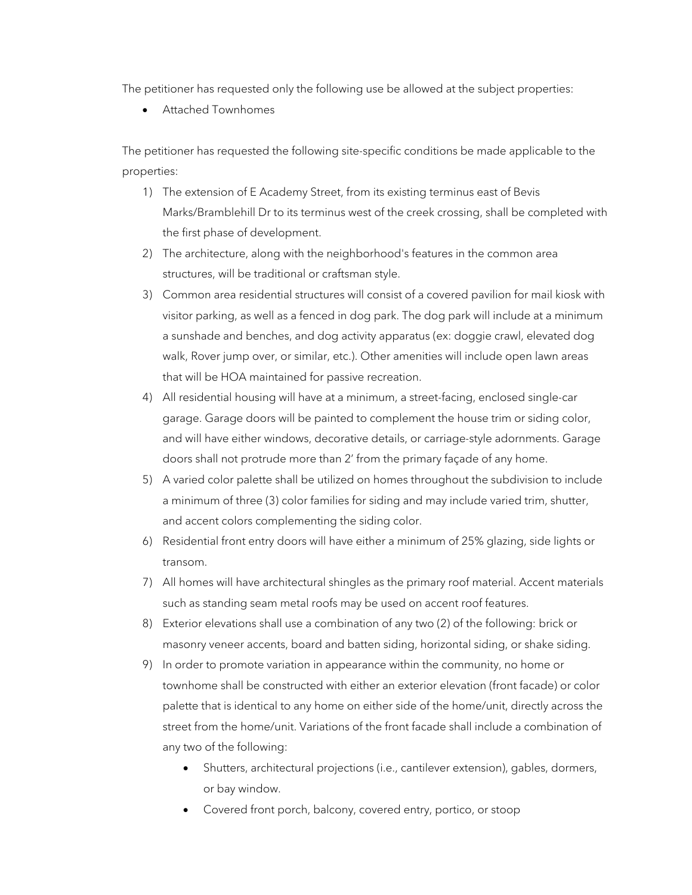The petitioner has requested only the following use be allowed at the subject properties:

• Attached Townhomes

The petitioner has requested the following site-specific conditions be made applicable to the properties:

- 1) The extension of E Academy Street, from its existing terminus east of Bevis Marks/Bramblehill Dr to its terminus west of the creek crossing, shall be completed with the first phase of development.
- 2) The architecture, along with the neighborhood's features in the common area structures, will be traditional or craftsman style.
- 3) Common area residential structures will consist of a covered pavilion for mail kiosk with visitor parking, as well as a fenced in dog park. The dog park will include at a minimum a sunshade and benches, and dog activity apparatus (ex: doggie crawl, elevated dog walk, Rover jump over, or similar, etc.). Other amenities will include open lawn areas that will be HOA maintained for passive recreation.
- 4) All residential housing will have at a minimum, a street-facing, enclosed single-car garage. Garage doors will be painted to complement the house trim or siding color, and will have either windows, decorative details, or carriage-style adornments. Garage doors shall not protrude more than 2' from the primary façade of any home.
- 5) A varied color palette shall be utilized on homes throughout the subdivision to include a minimum of three (3) color families for siding and may include varied trim, shutter, and accent colors complementing the siding color.
- 6) Residential front entry doors will have either a minimum of 25% glazing, side lights or transom.
- 7) All homes will have architectural shingles as the primary roof material. Accent materials such as standing seam metal roofs may be used on accent roof features.
- 8) Exterior elevations shall use a combination of any two (2) of the following: brick or masonry veneer accents, board and batten siding, horizontal siding, or shake siding.
- 9) In order to promote variation in appearance within the community, no home or townhome shall be constructed with either an exterior elevation (front facade) or color palette that is identical to any home on either side of the home/unit, directly across the street from the home/unit. Variations of the front facade shall include a combination of any two of the following:
	- Shutters, architectural projections (i.e., cantilever extension), gables, dormers, or bay window.
	- Covered front porch, balcony, covered entry, portico, or stoop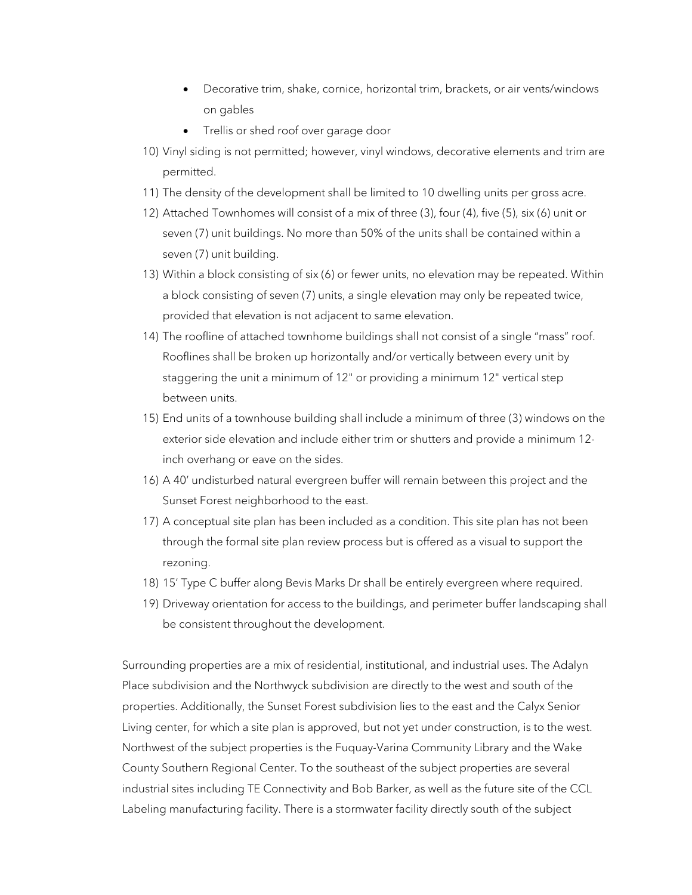- Decorative trim, shake, cornice, horizontal trim, brackets, or air vents/windows on gables
- Trellis or shed roof over garage door
- 10) Vinyl siding is not permitted; however, vinyl windows, decorative elements and trim are permitted.
- 11) The density of the development shall be limited to 10 dwelling units per gross acre.
- 12) Attached Townhomes will consist of a mix of three (3), four (4), five (5), six (6) unit or seven (7) unit buildings. No more than 50% of the units shall be contained within a seven (7) unit building.
- 13) Within a block consisting of six (6) or fewer units, no elevation may be repeated. Within a block consisting of seven (7) units, a single elevation may only be repeated twice, provided that elevation is not adjacent to same elevation.
- 14) The roofline of attached townhome buildings shall not consist of a single "mass" roof. Rooflines shall be broken up horizontally and/or vertically between every unit by staggering the unit a minimum of 12" or providing a minimum 12" vertical step between units.
- 15) End units of a townhouse building shall include a minimum of three (3) windows on the exterior side elevation and include either trim or shutters and provide a minimum 12 inch overhang or eave on the sides.
- 16) A 40' undisturbed natural evergreen buffer will remain between this project and the Sunset Forest neighborhood to the east.
- 17) A conceptual site plan has been included as a condition. This site plan has not been through the formal site plan review process but is offered as a visual to support the rezoning.
- 18) 15' Type C buffer along Bevis Marks Dr shall be entirely evergreen where required.
- 19) Driveway orientation for access to the buildings, and perimeter buffer landscaping shall be consistent throughout the development.

Surrounding properties are a mix of residential, institutional, and industrial uses. The Adalyn Place subdivision and the Northwyck subdivision are directly to the west and south of the properties. Additionally, the Sunset Forest subdivision lies to the east and the Calyx Senior Living center, for which a site plan is approved, but not yet under construction, is to the west. Northwest of the subject properties is the Fuquay-Varina Community Library and the Wake County Southern Regional Center. To the southeast of the subject properties are several industrial sites including TE Connectivity and Bob Barker, as well as the future site of the CCL Labeling manufacturing facility. There is a stormwater facility directly south of the subject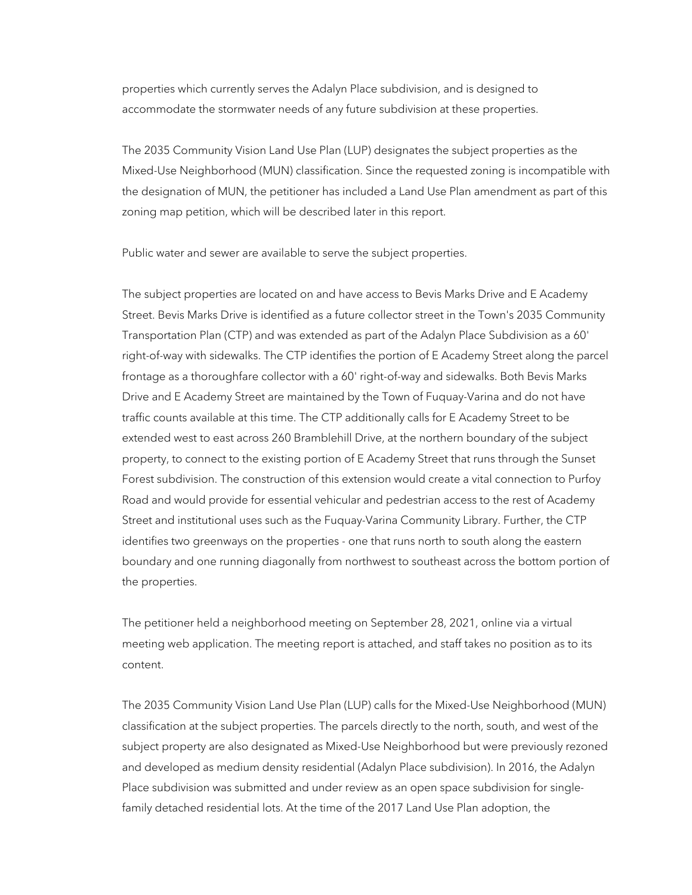properties which currently serves the Adalyn Place subdivision, and is designed to accommodate the stormwater needs of any future subdivision at these properties.

The 2035 Community Vision Land Use Plan (LUP) designates the subject properties as the Mixed-Use Neighborhood (MUN) classification. Since the requested zoning is incompatible with the designation of MUN, the petitioner has included a Land Use Plan amendment as part of this zoning map petition, which will be described later in this report.

Public water and sewer are available to serve the subject properties.

The subject properties are located on and have access to Bevis Marks Drive and E Academy Street. Bevis Marks Drive is identified as a future collector street in the Town's 2035 Community Transportation Plan (CTP) and was extended as part of the Adalyn Place Subdivision as a 60' right-of-way with sidewalks. The CTP identifies the portion of E Academy Street along the parcel frontage as a thoroughfare collector with a 60' right-of-way and sidewalks. Both Bevis Marks Drive and E Academy Street are maintained by the Town of Fuquay-Varina and do not have traffic counts available at this time. The CTP additionally calls for E Academy Street to be extended west to east across 260 Bramblehill Drive, at the northern boundary of the subject property, to connect to the existing portion of E Academy Street that runs through the Sunset Forest subdivision. The construction of this extension would create a vital connection to Purfoy Road and would provide for essential vehicular and pedestrian access to the rest of Academy Street and institutional uses such as the Fuquay-Varina Community Library. Further, the CTP identifies two greenways on the properties - one that runs north to south along the eastern boundary and one running diagonally from northwest to southeast across the bottom portion of the properties.

The petitioner held a neighborhood meeting on September 28, 2021, online via a virtual meeting web application. The meeting report is attached, and staff takes no position as to its content.

The 2035 Community Vision Land Use Plan (LUP) calls for the Mixed-Use Neighborhood (MUN) classification at the subject properties. The parcels directly to the north, south, and west of the subject property are also designated as Mixed-Use Neighborhood but were previously rezoned and developed as medium density residential (Adalyn Place subdivision). In 2016, the Adalyn Place subdivision was submitted and under review as an open space subdivision for singlefamily detached residential lots. At the time of the 2017 Land Use Plan adoption, the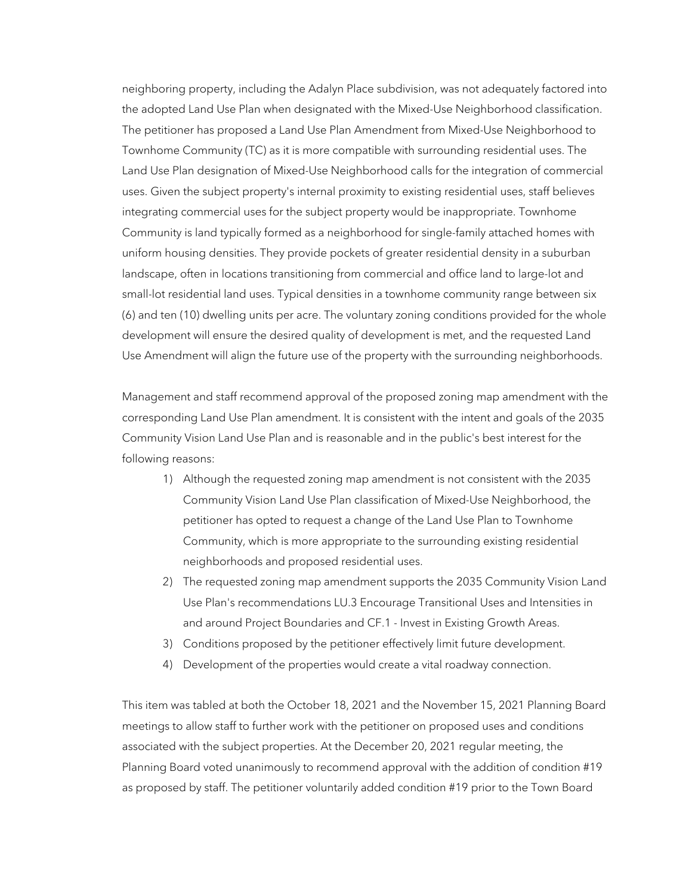neighboring property, including the Adalyn Place subdivision, was not adequately factored into the adopted Land Use Plan when designated with the Mixed-Use Neighborhood classification. The petitioner has proposed a Land Use Plan Amendment from Mixed-Use Neighborhood to Townhome Community (TC) as it is more compatible with surrounding residential uses. The Land Use Plan designation of Mixed-Use Neighborhood calls for the integration of commercial uses. Given the subject property's internal proximity to existing residential uses, staff believes integrating commercial uses for the subject property would be inappropriate. Townhome Community is land typically formed as a neighborhood for single-family attached homes with uniform housing densities. They provide pockets of greater residential density in a suburban landscape, often in locations transitioning from commercial and office land to large-lot and small-lot residential land uses. Typical densities in a townhome community range between six (6) and ten (10) dwelling units per acre. The voluntary zoning conditions provided for the whole development will ensure the desired quality of development is met, and the requested Land Use Amendment will align the future use of the property with the surrounding neighborhoods.

Management and staff recommend approval of the proposed zoning map amendment with the corresponding Land Use Plan amendment. It is consistent with the intent and goals of the 2035 Community Vision Land Use Plan and is reasonable and in the public's best interest for the following reasons:

- 1) Although the requested zoning map amendment is not consistent with the 2035 Community Vision Land Use Plan classification of Mixed-Use Neighborhood, the petitioner has opted to request a change of the Land Use Plan to Townhome Community, which is more appropriate to the surrounding existing residential neighborhoods and proposed residential uses.
- 2) The requested zoning map amendment supports the 2035 Community Vision Land Use Plan's recommendations LU.3 Encourage Transitional Uses and Intensities in and around Project Boundaries and CF.1 - Invest in Existing Growth Areas.
- 3) Conditions proposed by the petitioner effectively limit future development.
- 4) Development of the properties would create a vital roadway connection.

This item was tabled at both the October 18, 2021 and the November 15, 2021 Planning Board meetings to allow staff to further work with the petitioner on proposed uses and conditions associated with the subject properties. At the December 20, 2021 regular meeting, the Planning Board voted unanimously to recommend approval with the addition of condition #19 as proposed by staff. The petitioner voluntarily added condition #19 prior to the Town Board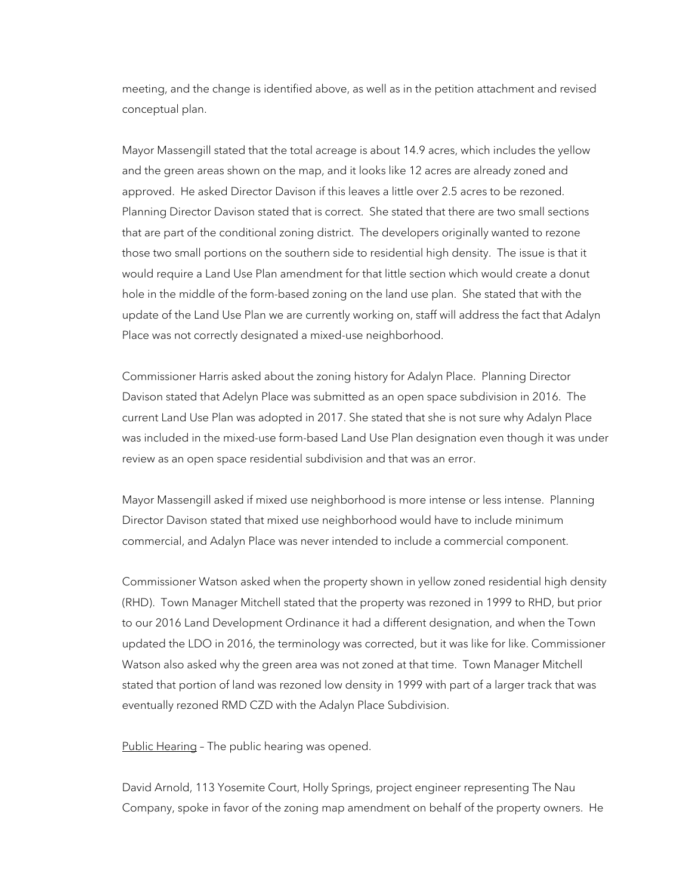meeting, and the change is identified above, as well as in the petition attachment and revised conceptual plan.

Mayor Massengill stated that the total acreage is about 14.9 acres, which includes the yellow and the green areas shown on the map, and it looks like 12 acres are already zoned and approved. He asked Director Davison if this leaves a little over 2.5 acres to be rezoned. Planning Director Davison stated that is correct. She stated that there are two small sections that are part of the conditional zoning district. The developers originally wanted to rezone those two small portions on the southern side to residential high density. The issue is that it would require a Land Use Plan amendment for that little section which would create a donut hole in the middle of the form-based zoning on the land use plan. She stated that with the update of the Land Use Plan we are currently working on, staff will address the fact that Adalyn Place was not correctly designated a mixed-use neighborhood.

Commissioner Harris asked about the zoning history for Adalyn Place. Planning Director Davison stated that Adelyn Place was submitted as an open space subdivision in 2016. The current Land Use Plan was adopted in 2017. She stated that she is not sure why Adalyn Place was included in the mixed-use form-based Land Use Plan designation even though it was under review as an open space residential subdivision and that was an error.

Mayor Massengill asked if mixed use neighborhood is more intense or less intense. Planning Director Davison stated that mixed use neighborhood would have to include minimum commercial, and Adalyn Place was never intended to include a commercial component.

Commissioner Watson asked when the property shown in yellow zoned residential high density (RHD). Town Manager Mitchell stated that the property was rezoned in 1999 to RHD, but prior to our 2016 Land Development Ordinance it had a different designation, and when the Town updated the LDO in 2016, the terminology was corrected, but it was like for like. Commissioner Watson also asked why the green area was not zoned at that time. Town Manager Mitchell stated that portion of land was rezoned low density in 1999 with part of a larger track that was eventually rezoned RMD CZD with the Adalyn Place Subdivision.

Public Hearing - The public hearing was opened.

David Arnold, 113 Yosemite Court, Holly Springs, project engineer representing The Nau Company, spoke in favor of the zoning map amendment on behalf of the property owners. He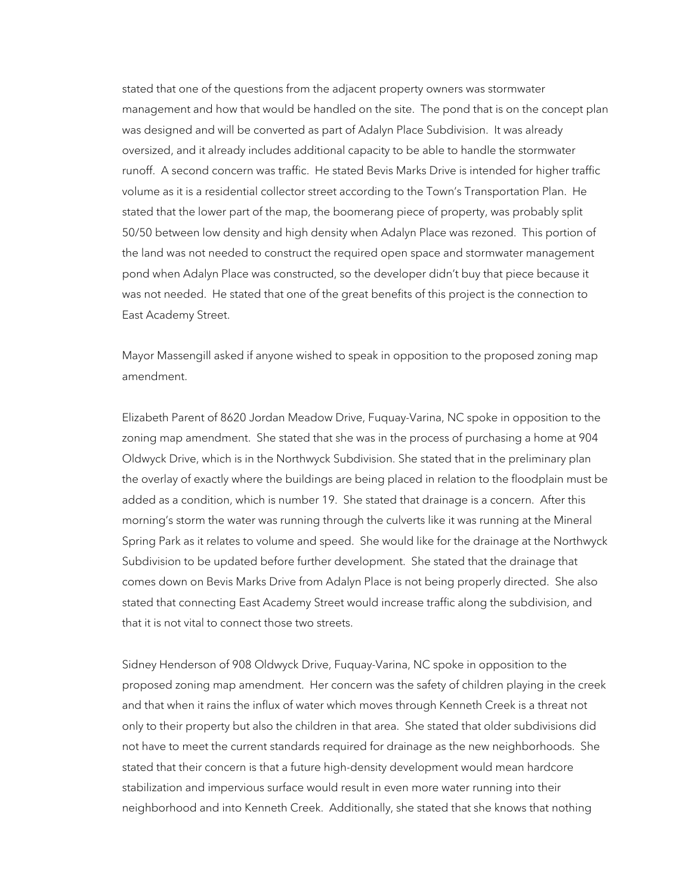stated that one of the questions from the adjacent property owners was stormwater management and how that would be handled on the site. The pond that is on the concept plan was designed and will be converted as part of Adalyn Place Subdivision. It was already oversized, and it already includes additional capacity to be able to handle the stormwater runoff. A second concern was traffic. He stated Bevis Marks Drive is intended for higher traffic volume as it is a residential collector street according to the Town's Transportation Plan. He stated that the lower part of the map, the boomerang piece of property, was probably split 50/50 between low density and high density when Adalyn Place was rezoned. This portion of the land was not needed to construct the required open space and stormwater management pond when Adalyn Place was constructed, so the developer didn't buy that piece because it was not needed. He stated that one of the great benefits of this project is the connection to East Academy Street.

Mayor Massengill asked if anyone wished to speak in opposition to the proposed zoning map amendment.

Elizabeth Parent of 8620 Jordan Meadow Drive, Fuquay-Varina, NC spoke in opposition to the zoning map amendment. She stated that she was in the process of purchasing a home at 904 Oldwyck Drive, which is in the Northwyck Subdivision. She stated that in the preliminary plan the overlay of exactly where the buildings are being placed in relation to the floodplain must be added as a condition, which is number 19. She stated that drainage is a concern. After this morning's storm the water was running through the culverts like it was running at the Mineral Spring Park as it relates to volume and speed. She would like for the drainage at the Northwyck Subdivision to be updated before further development. She stated that the drainage that comes down on Bevis Marks Drive from Adalyn Place is not being properly directed. She also stated that connecting East Academy Street would increase traffic along the subdivision, and that it is not vital to connect those two streets.

Sidney Henderson of 908 Oldwyck Drive, Fuquay-Varina, NC spoke in opposition to the proposed zoning map amendment. Her concern was the safety of children playing in the creek and that when it rains the influx of water which moves through Kenneth Creek is a threat not only to their property but also the children in that area. She stated that older subdivisions did not have to meet the current standards required for drainage as the new neighborhoods. She stated that their concern is that a future high-density development would mean hardcore stabilization and impervious surface would result in even more water running into their neighborhood and into Kenneth Creek. Additionally, she stated that she knows that nothing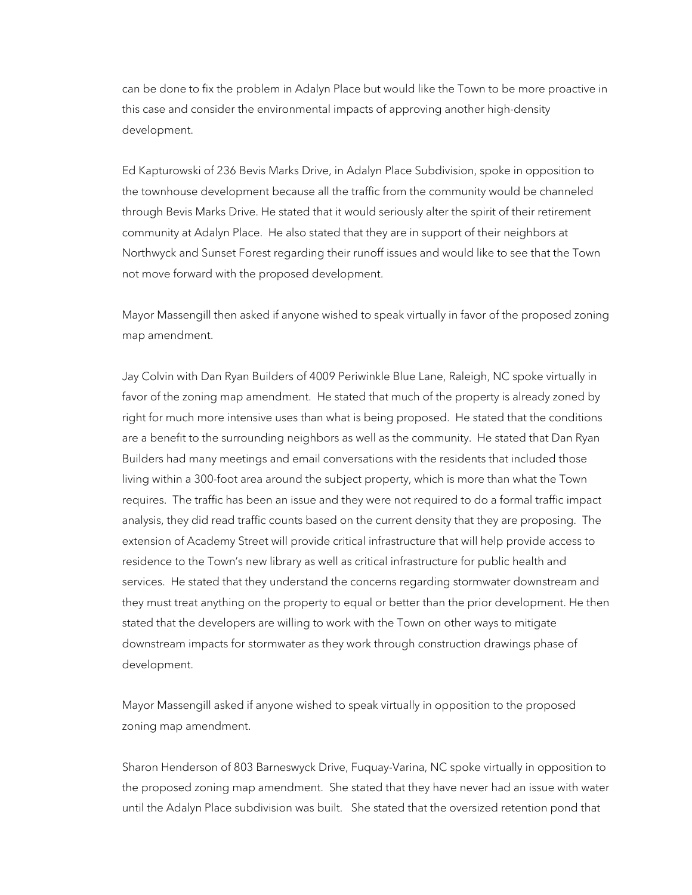can be done to fix the problem in Adalyn Place but would like the Town to be more proactive in this case and consider the environmental impacts of approving another high-density development.

Ed Kapturowski of 236 Bevis Marks Drive, in Adalyn Place Subdivision, spoke in opposition to the townhouse development because all the traffic from the community would be channeled through Bevis Marks Drive. He stated that it would seriously alter the spirit of their retirement community at Adalyn Place. He also stated that they are in support of their neighbors at Northwyck and Sunset Forest regarding their runoff issues and would like to see that the Town not move forward with the proposed development.

Mayor Massengill then asked if anyone wished to speak virtually in favor of the proposed zoning map amendment.

Jay Colvin with Dan Ryan Builders of 4009 Periwinkle Blue Lane, Raleigh, NC spoke virtually in favor of the zoning map amendment. He stated that much of the property is already zoned by right for much more intensive uses than what is being proposed. He stated that the conditions are a benefit to the surrounding neighbors as well as the community. He stated that Dan Ryan Builders had many meetings and email conversations with the residents that included those living within a 300-foot area around the subject property, which is more than what the Town requires. The traffic has been an issue and they were not required to do a formal traffic impact analysis, they did read traffic counts based on the current density that they are proposing. The extension of Academy Street will provide critical infrastructure that will help provide access to residence to the Town's new library as well as critical infrastructure for public health and services. He stated that they understand the concerns regarding stormwater downstream and they must treat anything on the property to equal or better than the prior development. He then stated that the developers are willing to work with the Town on other ways to mitigate downstream impacts for stormwater as they work through construction drawings phase of development.

Mayor Massengill asked if anyone wished to speak virtually in opposition to the proposed zoning map amendment.

Sharon Henderson of 803 Barneswyck Drive, Fuquay-Varina, NC spoke virtually in opposition to the proposed zoning map amendment. She stated that they have never had an issue with water until the Adalyn Place subdivision was built. She stated that the oversized retention pond that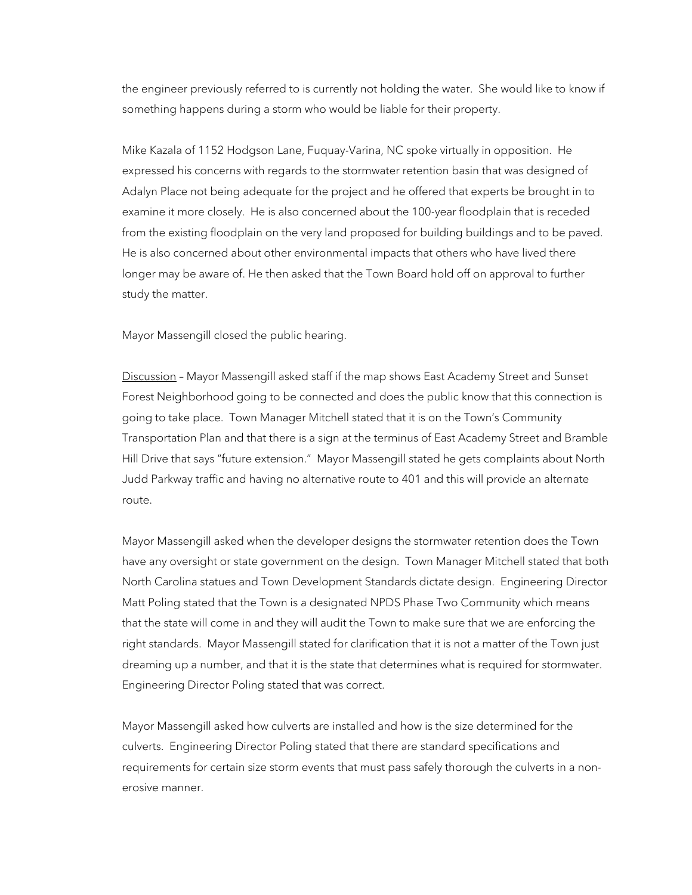the engineer previously referred to is currently not holding the water. She would like to know if something happens during a storm who would be liable for their property.

Mike Kazala of 1152 Hodgson Lane, Fuquay-Varina, NC spoke virtually in opposition. He expressed his concerns with regards to the stormwater retention basin that was designed of Adalyn Place not being adequate for the project and he offered that experts be brought in to examine it more closely. He is also concerned about the 100-year floodplain that is receded from the existing floodplain on the very land proposed for building buildings and to be paved. He is also concerned about other environmental impacts that others who have lived there longer may be aware of. He then asked that the Town Board hold off on approval to further study the matter.

Mayor Massengill closed the public hearing.

Discussion - Mayor Massengill asked staff if the map shows East Academy Street and Sunset Forest Neighborhood going to be connected and does the public know that this connection is going to take place. Town Manager Mitchell stated that it is on the Town's Community Transportation Plan and that there is a sign at the terminus of East Academy Street and Bramble Hill Drive that says "future extension." Mayor Massengill stated he gets complaints about North Judd Parkway traffic and having no alternative route to 401 and this will provide an alternate route.

Mayor Massengill asked when the developer designs the stormwater retention does the Town have any oversight or state government on the design. Town Manager Mitchell stated that both North Carolina statues and Town Development Standards dictate design. Engineering Director Matt Poling stated that the Town is a designated NPDS Phase Two Community which means that the state will come in and they will audit the Town to make sure that we are enforcing the right standards. Mayor Massengill stated for clarification that it is not a matter of the Town just dreaming up a number, and that it is the state that determines what is required for stormwater. Engineering Director Poling stated that was correct.

Mayor Massengill asked how culverts are installed and how is the size determined for the culverts. Engineering Director Poling stated that there are standard specifications and requirements for certain size storm events that must pass safely thorough the culverts in a nonerosive manner.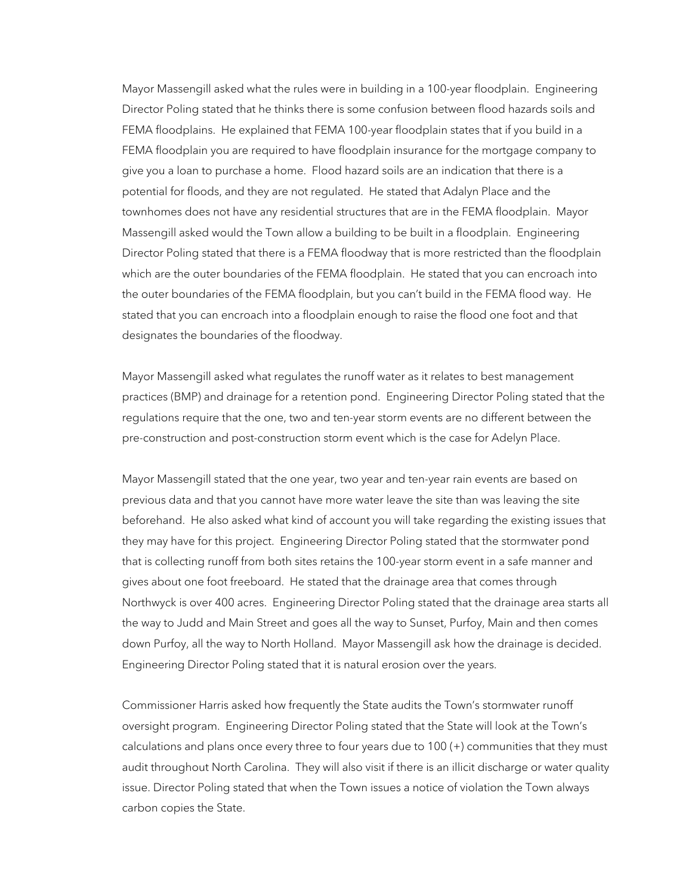Mayor Massengill asked what the rules were in building in a 100-year floodplain. Engineering Director Poling stated that he thinks there is some confusion between flood hazards soils and FEMA floodplains. He explained that FEMA 100-year floodplain states that if you build in a FEMA floodplain you are required to have floodplain insurance for the mortgage company to give you a loan to purchase a home. Flood hazard soils are an indication that there is a potential for floods, and they are not regulated. He stated that Adalyn Place and the townhomes does not have any residential structures that are in the FEMA floodplain. Mayor Massengill asked would the Town allow a building to be built in a floodplain. Engineering Director Poling stated that there is a FEMA floodway that is more restricted than the floodplain which are the outer boundaries of the FEMA floodplain. He stated that you can encroach into the outer boundaries of the FEMA floodplain, but you can't build in the FEMA flood way. He stated that you can encroach into a floodplain enough to raise the flood one foot and that designates the boundaries of the floodway.

Mayor Massengill asked what regulates the runoff water as it relates to best management practices (BMP) and drainage for a retention pond. Engineering Director Poling stated that the regulations require that the one, two and ten-year storm events are no different between the pre-construction and post-construction storm event which is the case for Adelyn Place.

Mayor Massengill stated that the one year, two year and ten-year rain events are based on previous data and that you cannot have more water leave the site than was leaving the site beforehand. He also asked what kind of account you will take regarding the existing issues that they may have for this project. Engineering Director Poling stated that the stormwater pond that is collecting runoff from both sites retains the 100-year storm event in a safe manner and gives about one foot freeboard. He stated that the drainage area that comes through Northwyck is over 400 acres. Engineering Director Poling stated that the drainage area starts all the way to Judd and Main Street and goes all the way to Sunset, Purfoy, Main and then comes down Purfoy, all the way to North Holland. Mayor Massengill ask how the drainage is decided. Engineering Director Poling stated that it is natural erosion over the years.

Commissioner Harris asked how frequently the State audits the Town's stormwater runoff oversight program. Engineering Director Poling stated that the State will look at the Town's calculations and plans once every three to four years due to 100 (+) communities that they must audit throughout North Carolina. They will also visit if there is an illicit discharge or water quality issue. Director Poling stated that when the Town issues a notice of violation the Town always carbon copies the State.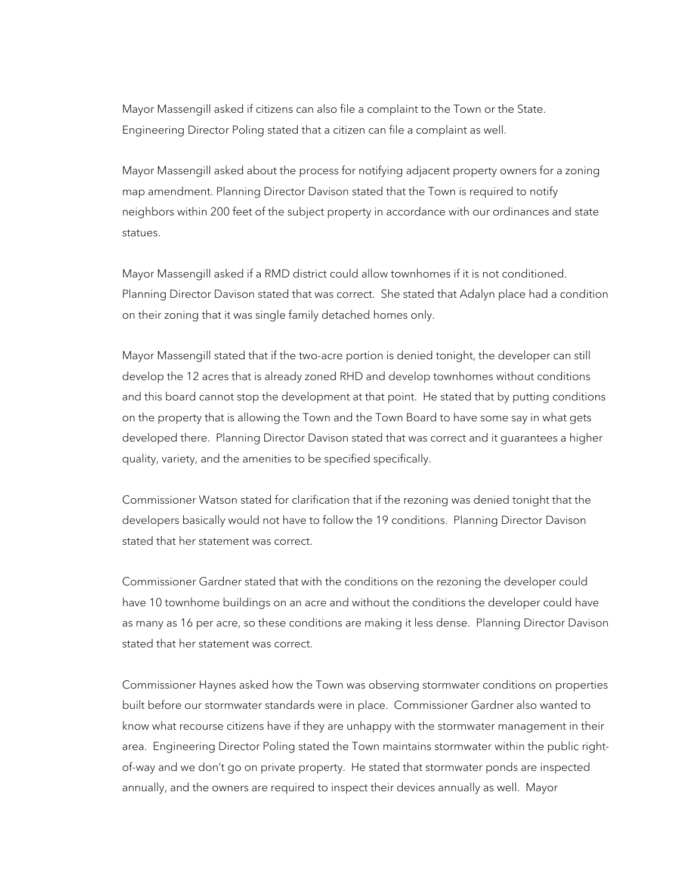Mayor Massengill asked if citizens can also file a complaint to the Town or the State. Engineering Director Poling stated that a citizen can file a complaint as well.

Mayor Massengill asked about the process for notifying adjacent property owners for a zoning map amendment. Planning Director Davison stated that the Town is required to notify neighbors within 200 feet of the subject property in accordance with our ordinances and state statues.

Mayor Massengill asked if a RMD district could allow townhomes if it is not conditioned. Planning Director Davison stated that was correct. She stated that Adalyn place had a condition on their zoning that it was single family detached homes only.

Mayor Massengill stated that if the two-acre portion is denied tonight, the developer can still develop the 12 acres that is already zoned RHD and develop townhomes without conditions and this board cannot stop the development at that point. He stated that by putting conditions on the property that is allowing the Town and the Town Board to have some say in what gets developed there. Planning Director Davison stated that was correct and it guarantees a higher quality, variety, and the amenities to be specified specifically.

Commissioner Watson stated for clarification that if the rezoning was denied tonight that the developers basically would not have to follow the 19 conditions. Planning Director Davison stated that her statement was correct.

Commissioner Gardner stated that with the conditions on the rezoning the developer could have 10 townhome buildings on an acre and without the conditions the developer could have as many as 16 per acre, so these conditions are making it less dense. Planning Director Davison stated that her statement was correct.

Commissioner Haynes asked how the Town was observing stormwater conditions on properties built before our stormwater standards were in place. Commissioner Gardner also wanted to know what recourse citizens have if they are unhappy with the stormwater management in their area. Engineering Director Poling stated the Town maintains stormwater within the public rightof-way and we don't go on private property. He stated that stormwater ponds are inspected annually, and the owners are required to inspect their devices annually as well. Mayor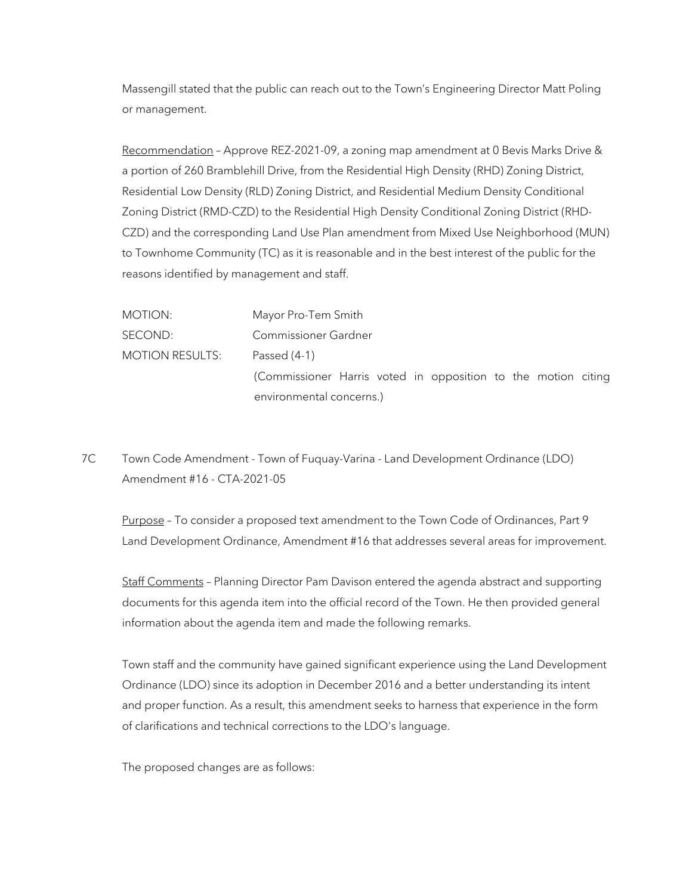Massengill stated that the public can reach out to the Town's Engineering Director Matt Poling or management.

Recommendation – Approve REZ-2021-09, a zoning map amendment at 0 Bevis Marks Drive & a portion of 260 Bramblehill Drive, from the Residential High Density (RHD) Zoning District, Residential Low Density (RLD) Zoning District, and Residential Medium Density Conditional Zoning District (RMD-CZD) to the Residential High Density Conditional Zoning District (RHD-CZD) and the corresponding Land Use Plan amendment from Mixed Use Neighborhood (MUN) to Townhome Community (TC) as it is reasonable and in the best interest of the public for the reasons identified by management and staff.

MOTION: Mayor Pro-Tem Smith SECOND: Commissioner Gardner MOTION RESULTS: Passed (4-1) (Commissioner Harris voted in opposition to the motion citing environmental concerns.)

7C Town Code Amendment - Town of Fuquay-Varina - Land Development Ordinance (LDO) Amendment #16 - CTA-2021-05

Purpose - To consider a proposed text amendment to the Town Code of Ordinances, Part 9 Land Development Ordinance, Amendment #16 that addresses several areas for improvement.

Staff Comments – Planning Director Pam Davison entered the agenda abstract and supporting documents for this agenda item into the official record of the Town. He then provided general information about the agenda item and made the following remarks.

Town staff and the community have gained significant experience using the Land Development Ordinance (LDO) since its adoption in December 2016 and a better understanding its intent and proper function. As a result, this amendment seeks to harness that experience in the form of clarifications and technical corrections to the LDO's language.

The proposed changes are as follows: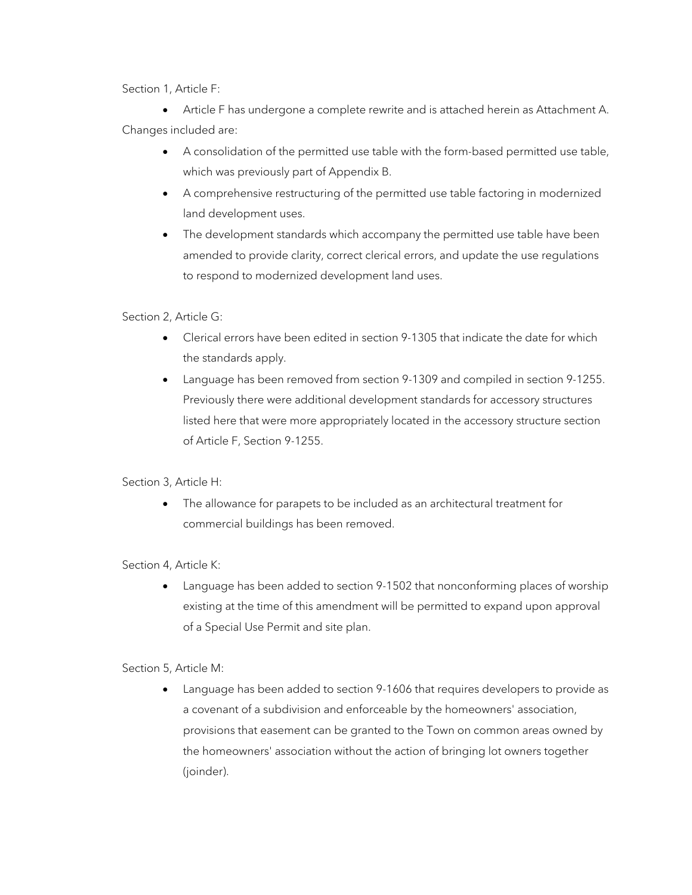Section 1, Article F:

• Article F has undergone a complete rewrite and is attached herein as Attachment A. Changes included are:

- A consolidation of the permitted use table with the form-based permitted use table, which was previously part of Appendix B.
- A comprehensive restructuring of the permitted use table factoring in modernized land development uses.
- The development standards which accompany the permitted use table have been amended to provide clarity, correct clerical errors, and update the use regulations to respond to modernized development land uses.

Section 2, Article G:

- Clerical errors have been edited in section 9-1305 that indicate the date for which the standards apply.
- Language has been removed from section 9-1309 and compiled in section 9-1255. Previously there were additional development standards for accessory structures listed here that were more appropriately located in the accessory structure section of Article F, Section 9-1255.

Section 3, Article H:

• The allowance for parapets to be included as an architectural treatment for commercial buildings has been removed.

Section 4, Article K:

• Language has been added to section 9-1502 that nonconforming places of worship existing at the time of this amendment will be permitted to expand upon approval of a Special Use Permit and site plan.

Section 5, Article M:

• Language has been added to section 9-1606 that requires developers to provide as a covenant of a subdivision and enforceable by the homeowners' association, provisions that easement can be granted to the Town on common areas owned by the homeowners' association without the action of bringing lot owners together (joinder).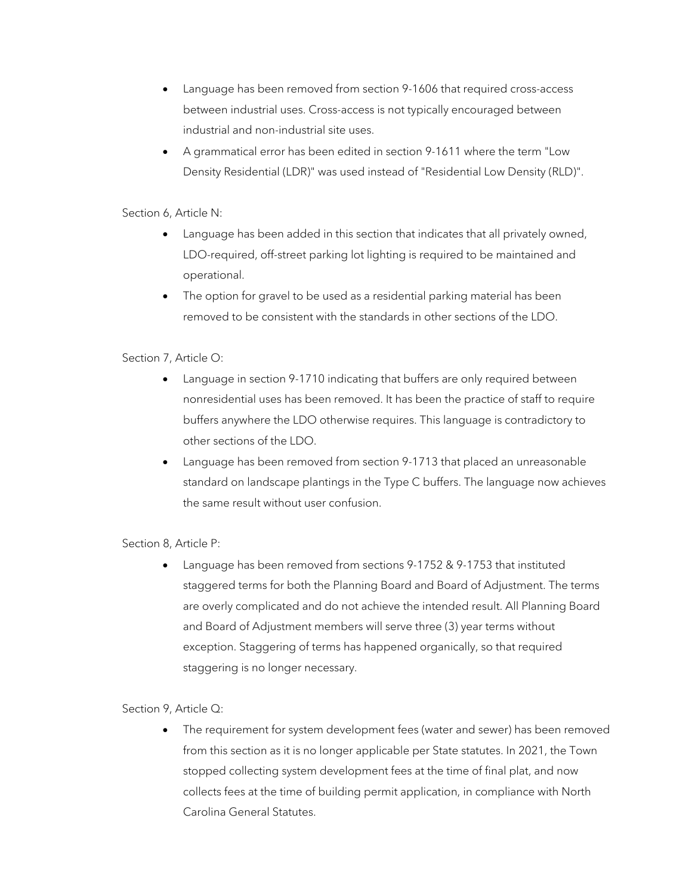- Language has been removed from section 9-1606 that required cross-access between industrial uses. Cross-access is not typically encouraged between industrial and non-industrial site uses.
- A grammatical error has been edited in section 9-1611 where the term "Low Density Residential (LDR)" was used instead of "Residential Low Density (RLD)".

Section 6, Article N:

- Language has been added in this section that indicates that all privately owned, LDO-required, off-street parking lot lighting is required to be maintained and operational.
- The option for gravel to be used as a residential parking material has been removed to be consistent with the standards in other sections of the LDO.

# Section 7, Article O:

- Language in section 9-1710 indicating that buffers are only required between nonresidential uses has been removed. It has been the practice of staff to require buffers anywhere the LDO otherwise requires. This language is contradictory to other sections of the LDO.
- Language has been removed from section 9-1713 that placed an unreasonable standard on landscape plantings in the Type C buffers. The language now achieves the same result without user confusion.

Section 8, Article P:

• Language has been removed from sections 9-1752 & 9-1753 that instituted staggered terms for both the Planning Board and Board of Adjustment. The terms are overly complicated and do not achieve the intended result. All Planning Board and Board of Adjustment members will serve three (3) year terms without exception. Staggering of terms has happened organically, so that required staggering is no longer necessary.

Section 9, Article Q:

• The requirement for system development fees (water and sewer) has been removed from this section as it is no longer applicable per State statutes. In 2021, the Town stopped collecting system development fees at the time of final plat, and now collects fees at the time of building permit application, in compliance with North Carolina General Statutes.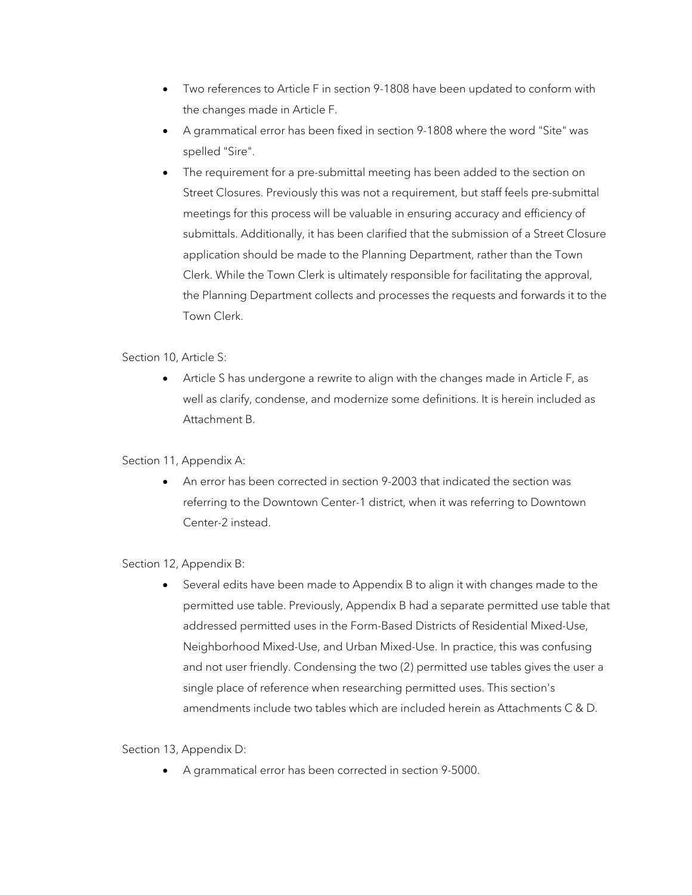- Two references to Article F in section 9-1808 have been updated to conform with the changes made in Article F.
- A grammatical error has been fixed in section 9-1808 where the word "Site" was spelled "Sire".
- The requirement for a pre-submittal meeting has been added to the section on Street Closures. Previously this was not a requirement, but staff feels pre-submittal meetings for this process will be valuable in ensuring accuracy and efficiency of submittals. Additionally, it has been clarified that the submission of a Street Closure application should be made to the Planning Department, rather than the Town Clerk. While the Town Clerk is ultimately responsible for facilitating the approval, the Planning Department collects and processes the requests and forwards it to the Town Clerk.

Section 10, Article S:

• Article S has undergone a rewrite to align with the changes made in Article F, as well as clarify, condense, and modernize some definitions. It is herein included as Attachment B.

# Section 11, Appendix A:

• An error has been corrected in section 9-2003 that indicated the section was referring to the Downtown Center-1 district, when it was referring to Downtown Center-2 instead.

Section 12, Appendix B:

Several edits have been made to Appendix B to align it with changes made to the permitted use table. Previously, Appendix B had a separate permitted use table that addressed permitted uses in the Form-Based Districts of Residential Mixed-Use, Neighborhood Mixed-Use, and Urban Mixed-Use. In practice, this was confusing and not user friendly. Condensing the two (2) permitted use tables gives the user a single place of reference when researching permitted uses. This section's amendments include two tables which are included herein as Attachments C & D.

Section 13, Appendix D:

• A grammatical error has been corrected in section 9-5000.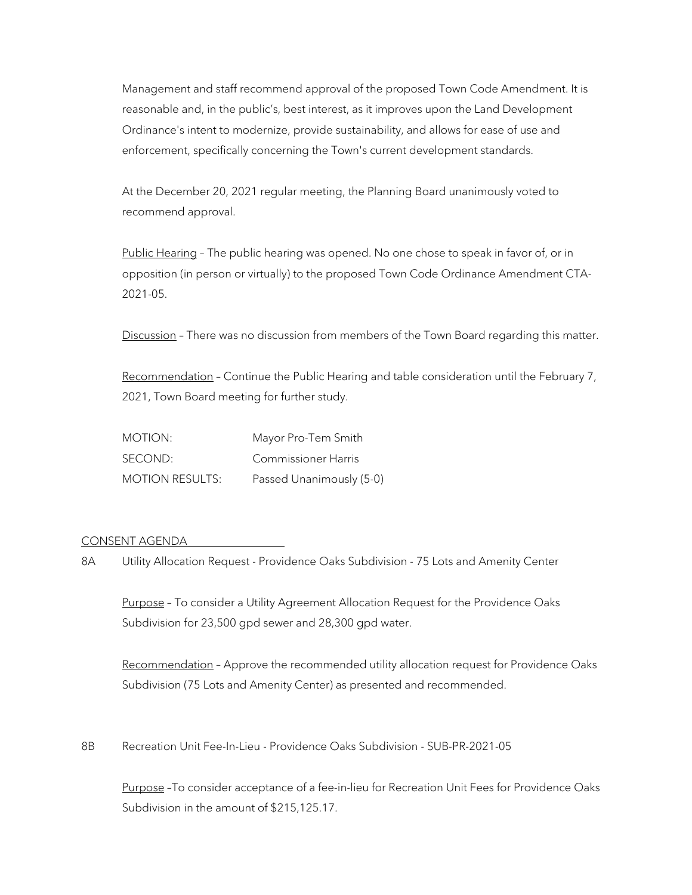Management and staff recommend approval of the proposed Town Code Amendment. It is reasonable and, in the public's, best interest, as it improves upon the Land Development Ordinance's intent to modernize, provide sustainability, and allows for ease of use and enforcement, specifically concerning the Town's current development standards.

At the December 20, 2021 regular meeting, the Planning Board unanimously voted to recommend approval.

Public Hearing - The public hearing was opened. No one chose to speak in favor of, or in opposition (in person or virtually) to the proposed Town Code Ordinance Amendment CTA-2021-05.

Discussion - There was no discussion from members of the Town Board regarding this matter.

Recommendation - Continue the Public Hearing and table consideration until the February 7, 2021, Town Board meeting for further study.

| MOTION:                | Mayor Pro-Tem Smith        |
|------------------------|----------------------------|
| SECOND:                | <b>Commissioner Harris</b> |
| <b>MOTION RESULTS:</b> | Passed Unanimously (5-0)   |

## CONSENT AGENDA

8A Utility Allocation Request - Providence Oaks Subdivision - 75 Lots and Amenity Center

Purpose – To consider a Utility Agreement Allocation Request for the Providence Oaks Subdivision for 23,500 gpd sewer and 28,300 gpd water.

Recommendation – Approve the recommended utility allocation request for Providence Oaks Subdivision (75 Lots and Amenity Center) as presented and recommended.

8B Recreation Unit Fee-In-Lieu - Providence Oaks Subdivision - SUB-PR-2021-05

Purpose –To consider acceptance of a fee-in-lieu for Recreation Unit Fees for Providence Oaks Subdivision in the amount of \$215,125.17.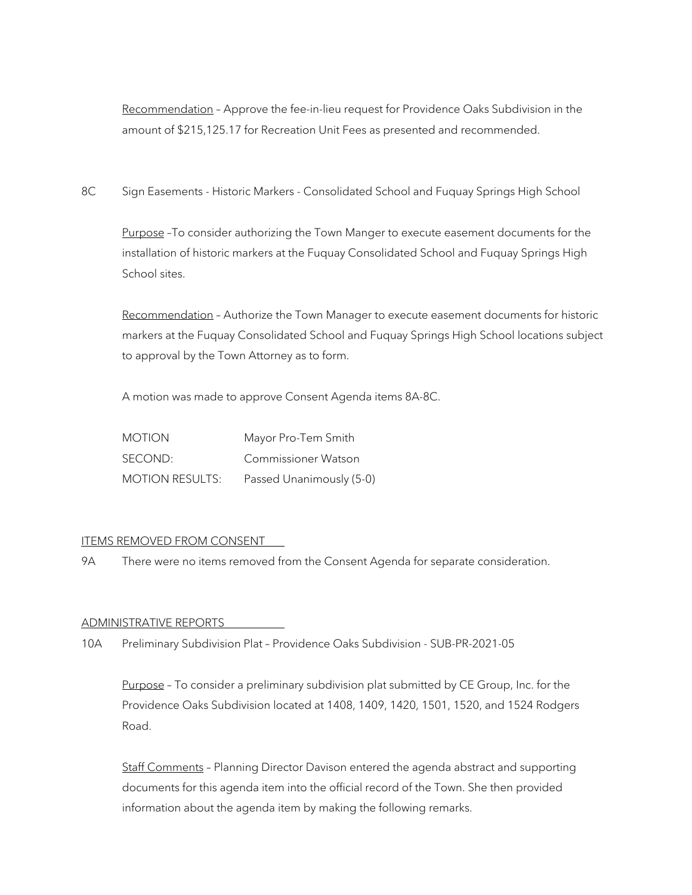Recommendation – Approve the fee-in-lieu request for Providence Oaks Subdivision in the amount of \$215,125.17 for Recreation Unit Fees as presented and recommended.

8C Sign Easements - Historic Markers - Consolidated School and Fuquay Springs High School

Purpose -To consider authorizing the Town Manger to execute easement documents for the installation of historic markers at the Fuquay Consolidated School and Fuquay Springs High School sites.

Recommendation – Authorize the Town Manager to execute easement documents for historic markers at the Fuquay Consolidated School and Fuquay Springs High School locations subject to approval by the Town Attorney as to form.

A motion was made to approve Consent Agenda items 8A-8C.

| <b>MOTION</b>          | Mayor Pro-Tem Smith        |
|------------------------|----------------------------|
| SECOND:                | <b>Commissioner Watson</b> |
| <b>MOTION RESULTS:</b> | Passed Unanimously (5-0)   |

## ITEMS REMOVED FROM CONSENT

9A There were no items removed from the Consent Agenda for separate consideration.

## ADMINISTRATIVE REPORTS

10A Preliminary Subdivision Plat – Providence Oaks Subdivision - SUB-PR-2021-05

Purpose - To consider a preliminary subdivision plat submitted by CE Group, Inc. for the Providence Oaks Subdivision located at 1408, 1409, 1420, 1501, 1520, and 1524 Rodgers Road.

Staff Comments – Planning Director Davison entered the agenda abstract and supporting documents for this agenda item into the official record of the Town. She then provided information about the agenda item by making the following remarks.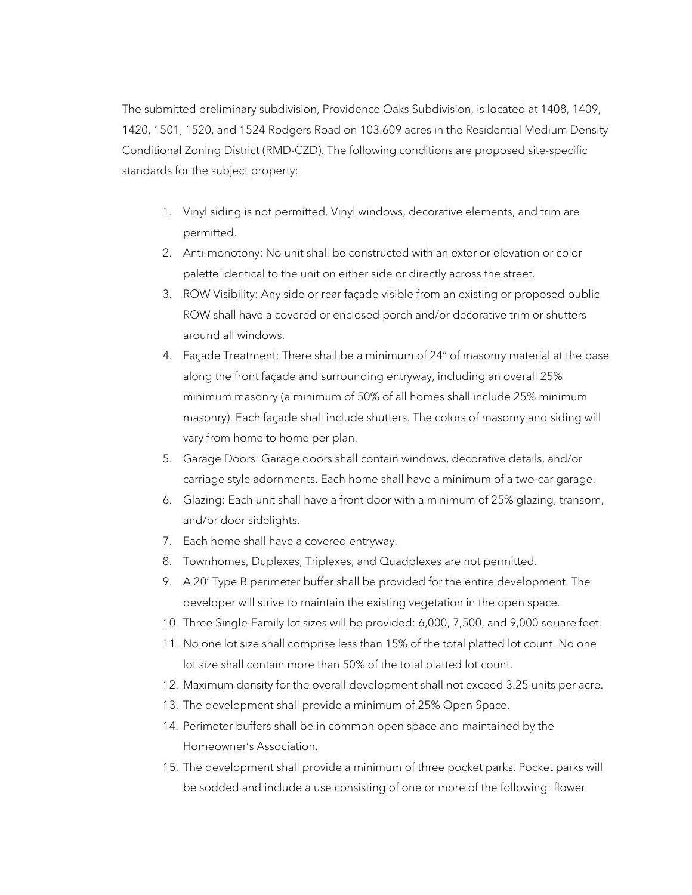The submitted preliminary subdivision, Providence Oaks Subdivision, is located at 1408, 1409, 1420, 1501, 1520, and 1524 Rodgers Road on 103.609 acres in the Residential Medium Density Conditional Zoning District (RMD-CZD). The following conditions are proposed site-specific standards for the subject property:

- 1. Vinyl siding is not permitted. Vinyl windows, decorative elements, and trim are permitted.
- 2. Anti-monotony: No unit shall be constructed with an exterior elevation or color palette identical to the unit on either side or directly across the street.
- 3. ROW Visibility: Any side or rear façade visible from an existing or proposed public ROW shall have a covered or enclosed porch and/or decorative trim or shutters around all windows.
- 4. Façade Treatment: There shall be a minimum of 24" of masonry material at the base along the front façade and surrounding entryway, including an overall 25% minimum masonry (a minimum of 50% of all homes shall include 25% minimum masonry). Each façade shall include shutters. The colors of masonry and siding will vary from home to home per plan.
- 5. Garage Doors: Garage doors shall contain windows, decorative details, and/or carriage style adornments. Each home shall have a minimum of a two-car garage.
- 6. Glazing: Each unit shall have a front door with a minimum of 25% glazing, transom, and/or door sidelights.
- 7. Each home shall have a covered entryway.
- 8. Townhomes, Duplexes, Triplexes, and Quadplexes are not permitted.
- 9. A 20' Type B perimeter buffer shall be provided for the entire development. The developer will strive to maintain the existing vegetation in the open space.
- 10. Three Single-Family lot sizes will be provided: 6,000, 7,500, and 9,000 square feet.
- 11. No one lot size shall comprise less than 15% of the total platted lot count. No one lot size shall contain more than 50% of the total platted lot count.
- 12. Maximum density for the overall development shall not exceed 3.25 units per acre.
- 13. The development shall provide a minimum of 25% Open Space.
- 14. Perimeter buffers shall be in common open space and maintained by the Homeowner's Association.
- 15. The development shall provide a minimum of three pocket parks. Pocket parks will be sodded and include a use consisting of one or more of the following: flower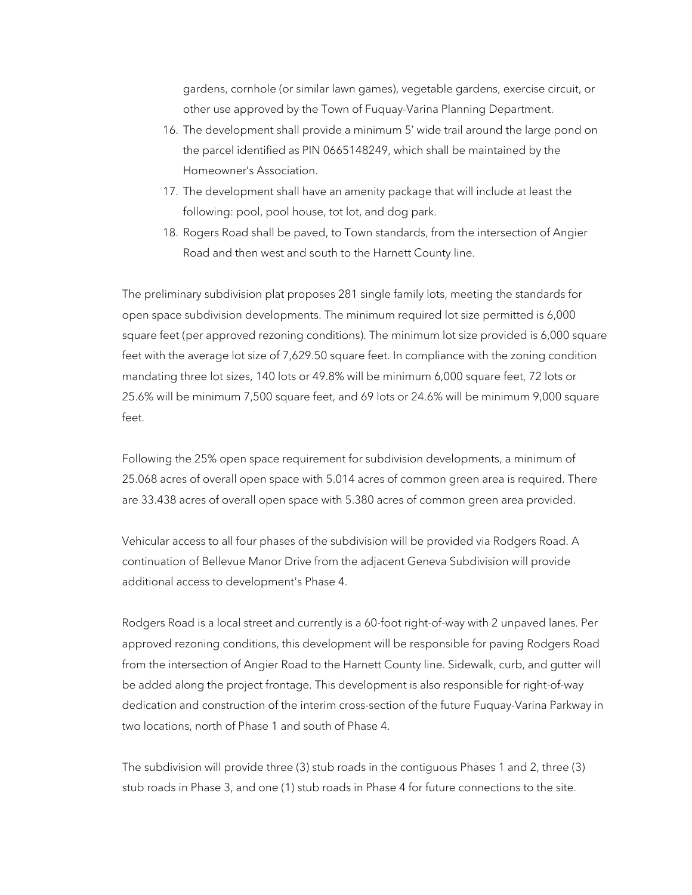gardens, cornhole (or similar lawn games), vegetable gardens, exercise circuit, or other use approved by the Town of Fuquay-Varina Planning Department.

- 16. The development shall provide a minimum 5' wide trail around the large pond on the parcel identified as PIN 0665148249, which shall be maintained by the Homeowner's Association.
- 17. The development shall have an amenity package that will include at least the following: pool, pool house, tot lot, and dog park.
- 18. Rogers Road shall be paved, to Town standards, from the intersection of Angier Road and then west and south to the Harnett County line.

The preliminary subdivision plat proposes 281 single family lots, meeting the standards for open space subdivision developments. The minimum required lot size permitted is 6,000 square feet (per approved rezoning conditions). The minimum lot size provided is 6,000 square feet with the average lot size of 7,629.50 square feet. In compliance with the zoning condition mandating three lot sizes, 140 lots or 49.8% will be minimum 6,000 square feet, 72 lots or 25.6% will be minimum 7,500 square feet, and 69 lots or 24.6% will be minimum 9,000 square feet.

Following the 25% open space requirement for subdivision developments, a minimum of 25.068 acres of overall open space with 5.014 acres of common green area is required. There are 33.438 acres of overall open space with 5.380 acres of common green area provided.

Vehicular access to all four phases of the subdivision will be provided via Rodgers Road. A continuation of Bellevue Manor Drive from the adjacent Geneva Subdivision will provide additional access to development's Phase 4.

Rodgers Road is a local street and currently is a 60-foot right-of-way with 2 unpaved lanes. Per approved rezoning conditions, this development will be responsible for paving Rodgers Road from the intersection of Angier Road to the Harnett County line. Sidewalk, curb, and gutter will be added along the project frontage. This development is also responsible for right-of-way dedication and construction of the interim cross-section of the future Fuquay-Varina Parkway in two locations, north of Phase 1 and south of Phase 4.

The subdivision will provide three (3) stub roads in the contiguous Phases 1 and 2, three (3) stub roads in Phase 3, and one (1) stub roads in Phase 4 for future connections to the site.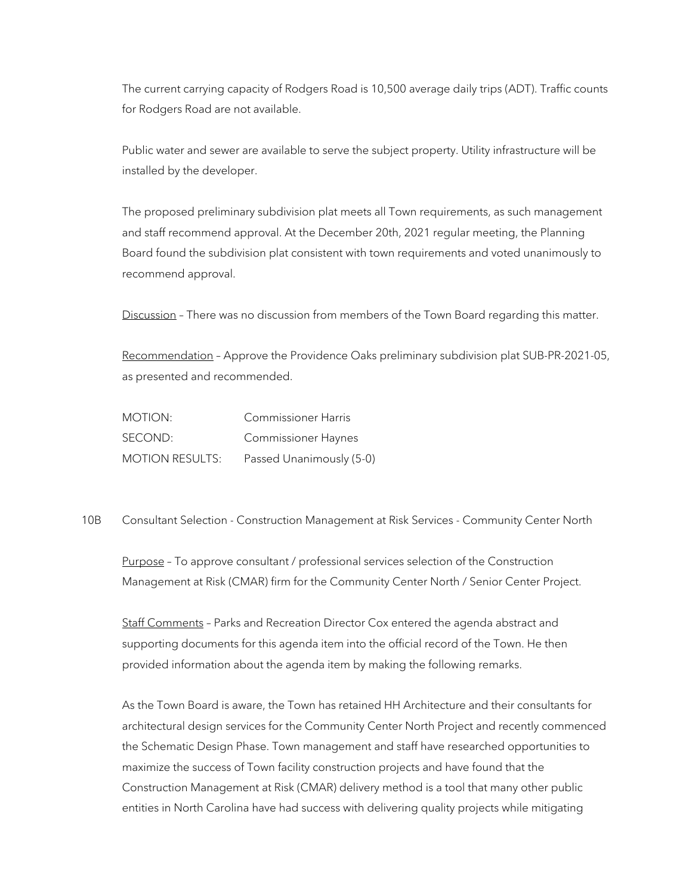The current carrying capacity of Rodgers Road is 10,500 average daily trips (ADT). Traffic counts for Rodgers Road are not available.

Public water and sewer are available to serve the subject property. Utility infrastructure will be installed by the developer.

The proposed preliminary subdivision plat meets all Town requirements, as such management and staff recommend approval. At the December 20th, 2021 regular meeting, the Planning Board found the subdivision plat consistent with town requirements and voted unanimously to recommend approval.

Discussion - There was no discussion from members of the Town Board regarding this matter.

Recommendation – Approve the Providence Oaks preliminary subdivision plat SUB-PR-2021-05, as presented and recommended.

MOTION: Commissioner Harris SECOND: Commissioner Haynes MOTION RESULTS: Passed Unanimously (5-0)

10B Consultant Selection - Construction Management at Risk Services - Community Center North

Purpose – To approve consultant / professional services selection of the Construction Management at Risk (CMAR) firm for the Community Center North / Senior Center Project.

Staff Comments – Parks and Recreation Director Cox entered the agenda abstract and supporting documents for this agenda item into the official record of the Town. He then provided information about the agenda item by making the following remarks.

As the Town Board is aware, the Town has retained HH Architecture and their consultants for architectural design services for the Community Center North Project and recently commenced the Schematic Design Phase. Town management and staff have researched opportunities to maximize the success of Town facility construction projects and have found that the Construction Management at Risk (CMAR) delivery method is a tool that many other public entities in North Carolina have had success with delivering quality projects while mitigating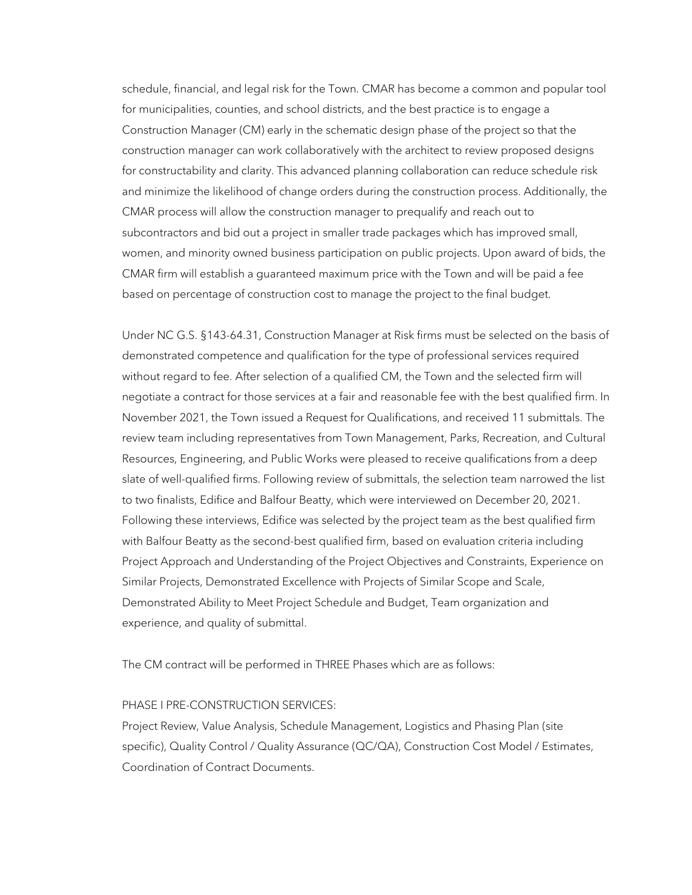schedule, financial, and legal risk for the Town. CMAR has become a common and popular tool for municipalities, counties, and school districts, and the best practice is to engage a Construction Manager (CM) early in the schematic design phase of the project so that the construction manager can work collaboratively with the architect to review proposed designs for constructability and clarity. This advanced planning collaboration can reduce schedule risk and minimize the likelihood of change orders during the construction process. Additionally, the CMAR process will allow the construction manager to prequalify and reach out to subcontractors and bid out a project in smaller trade packages which has improved small, women, and minority owned business participation on public projects. Upon award of bids, the CMAR firm will establish a guaranteed maximum price with the Town and will be paid a fee based on percentage of construction cost to manage the project to the final budget.

Under NC G.S. §143-64.31, Construction Manager at Risk firms must be selected on the basis of demonstrated competence and qualification for the type of professional services required without regard to fee. After selection of a qualified CM, the Town and the selected firm will negotiate a contract for those services at a fair and reasonable fee with the best qualified firm. In November 2021, the Town issued a Request for Qualifications, and received 11 submittals. The review team including representatives from Town Management, Parks, Recreation, and Cultural Resources, Engineering, and Public Works were pleased to receive qualifications from a deep slate of well-qualified firms. Following review of submittals, the selection team narrowed the list to two finalists, Edifice and Balfour Beatty, which were interviewed on December 20, 2021. Following these interviews, Edifice was selected by the project team as the best qualified firm with Balfour Beatty as the second-best qualified firm, based on evaluation criteria including Project Approach and Understanding of the Project Objectives and Constraints, Experience on Similar Projects, Demonstrated Excellence with Projects of Similar Scope and Scale, Demonstrated Ability to Meet Project Schedule and Budget, Team organization and experience, and quality of submittal.

The CM contract will be performed in THREE Phases which are as follows:

## PHASE I PRE-CONSTRUCTION SERVICES:

Project Review, Value Analysis, Schedule Management, Logistics and Phasing Plan (site specific), Quality Control / Quality Assurance (QC/QA), Construction Cost Model / Estimates, Coordination of Contract Documents.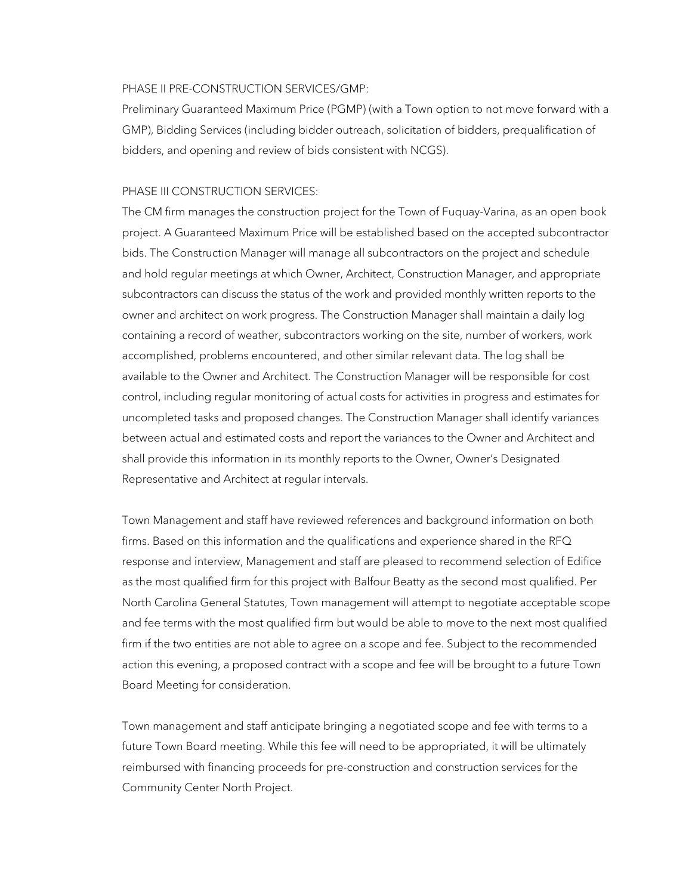## PHASE II PRE-CONSTRUCTION SERVICES/GMP:

Preliminary Guaranteed Maximum Price (PGMP) (with a Town option to not move forward with a GMP), Bidding Services (including bidder outreach, solicitation of bidders, prequalification of bidders, and opening and review of bids consistent with NCGS).

#### PHASE III CONSTRUCTION SERVICES:

The CM firm manages the construction project for the Town of Fuquay-Varina, as an open book project. A Guaranteed Maximum Price will be established based on the accepted subcontractor bids. The Construction Manager will manage all subcontractors on the project and schedule and hold regular meetings at which Owner, Architect, Construction Manager, and appropriate subcontractors can discuss the status of the work and provided monthly written reports to the owner and architect on work progress. The Construction Manager shall maintain a daily log containing a record of weather, subcontractors working on the site, number of workers, work accomplished, problems encountered, and other similar relevant data. The log shall be available to the Owner and Architect. The Construction Manager will be responsible for cost control, including regular monitoring of actual costs for activities in progress and estimates for uncompleted tasks and proposed changes. The Construction Manager shall identify variances between actual and estimated costs and report the variances to the Owner and Architect and shall provide this information in its monthly reports to the Owner, Owner's Designated Representative and Architect at regular intervals.

Town Management and staff have reviewed references and background information on both firms. Based on this information and the qualifications and experience shared in the RFQ response and interview, Management and staff are pleased to recommend selection of Edifice as the most qualified firm for this project with Balfour Beatty as the second most qualified. Per North Carolina General Statutes, Town management will attempt to negotiate acceptable scope and fee terms with the most qualified firm but would be able to move to the next most qualified firm if the two entities are not able to agree on a scope and fee. Subject to the recommended action this evening, a proposed contract with a scope and fee will be brought to a future Town Board Meeting for consideration.

Town management and staff anticipate bringing a negotiated scope and fee with terms to a future Town Board meeting. While this fee will need to be appropriated, it will be ultimately reimbursed with financing proceeds for pre-construction and construction services for the Community Center North Project.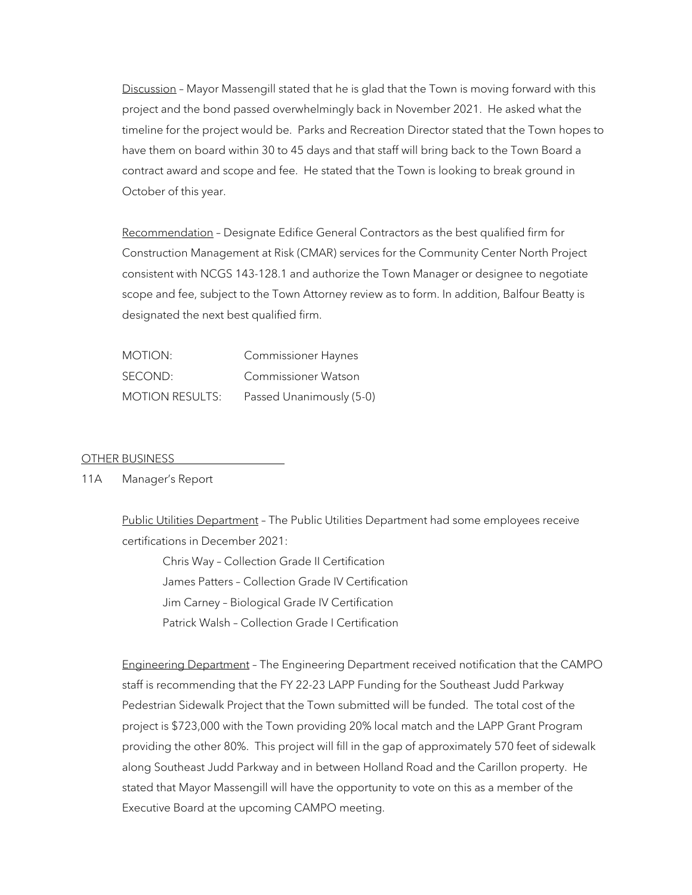Discussion - Mayor Massengill stated that he is glad that the Town is moving forward with this project and the bond passed overwhelmingly back in November 2021. He asked what the timeline for the project would be. Parks and Recreation Director stated that the Town hopes to have them on board within 30 to 45 days and that staff will bring back to the Town Board a contract award and scope and fee. He stated that the Town is looking to break ground in October of this year.

Recommendation – Designate Edifice General Contractors as the best qualified firm for Construction Management at Risk (CMAR) services for the Community Center North Project consistent with NCGS 143-128.1 and authorize the Town Manager or designee to negotiate scope and fee, subject to the Town Attorney review as to form. In addition, Balfour Beatty is designated the next best qualified firm.

| MOTION:                | Commissioner Haynes      |
|------------------------|--------------------------|
| SECOND:                | Commissioner Watson      |
| <b>MOTION RESULTS:</b> | Passed Unanimously (5-0) |

## OTHER BUSINESS

## 11A Manager's Report

Public Utilities Department – The Public Utilities Department had some employees receive certifications in December 2021:

Chris Way – Collection Grade II Certification James Patters – Collection Grade IV Certification Jim Carney – Biological Grade IV Certification Patrick Walsh – Collection Grade I Certification

Engineering Department – The Engineering Department received notification that the CAMPO staff is recommending that the FY 22-23 LAPP Funding for the Southeast Judd Parkway Pedestrian Sidewalk Project that the Town submitted will be funded. The total cost of the project is \$723,000 with the Town providing 20% local match and the LAPP Grant Program providing the other 80%. This project will fill in the gap of approximately 570 feet of sidewalk along Southeast Judd Parkway and in between Holland Road and the Carillon property. He stated that Mayor Massengill will have the opportunity to vote on this as a member of the Executive Board at the upcoming CAMPO meeting.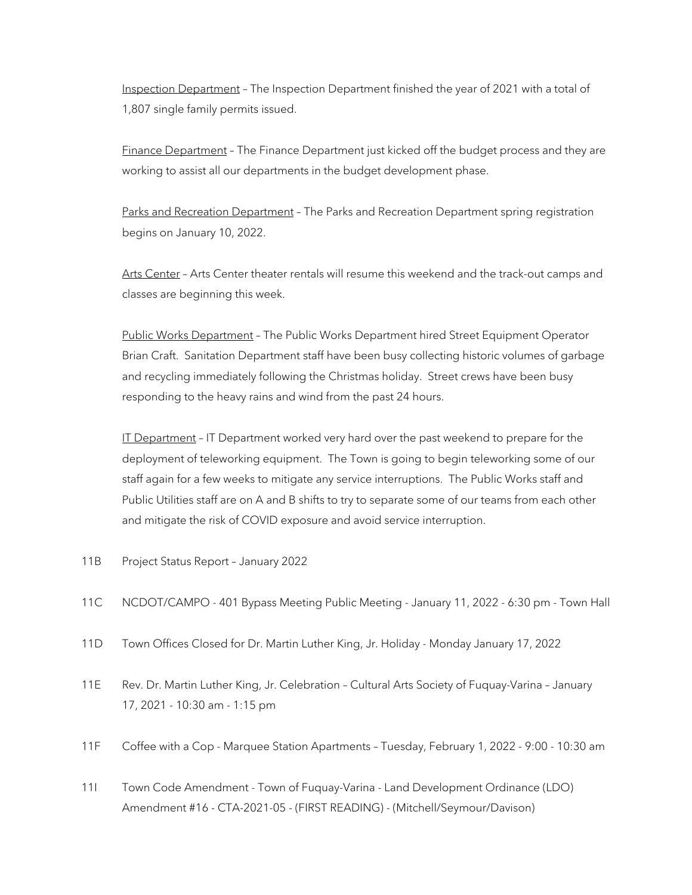Inspection Department – The Inspection Department finished the year of 2021 with a total of 1,807 single family permits issued.

Finance Department – The Finance Department just kicked off the budget process and they are working to assist all our departments in the budget development phase.

Parks and Recreation Department – The Parks and Recreation Department spring registration begins on January 10, 2022.

Arts Center - Arts Center theater rentals will resume this weekend and the track-out camps and classes are beginning this week.

Public Works Department – The Public Works Department hired Street Equipment Operator Brian Craft. Sanitation Department staff have been busy collecting historic volumes of garbage and recycling immediately following the Christmas holiday. Street crews have been busy responding to the heavy rains and wind from the past 24 hours.

IT Department - IT Department worked very hard over the past weekend to prepare for the deployment of teleworking equipment. The Town is going to begin teleworking some of our staff again for a few weeks to mitigate any service interruptions. The Public Works staff and Public Utilities staff are on A and B shifts to try to separate some of our teams from each other and mitigate the risk of COVID exposure and avoid service interruption.

- 11B Project Status Report January 2022
- 11C NCDOT/CAMPO 401 Bypass Meeting Public Meeting January 11, 2022 6:30 pm Town Hall
- 11D Town Offices Closed for Dr. Martin Luther King, Jr. Holiday Monday January 17, 2022
- 11E Rev. Dr. Martin Luther King, Jr. Celebration Cultural Arts Society of Fuquay-Varina January 17, 2021 - 10:30 am - 1:15 pm
- 11F Coffee with a Cop Marquee Station Apartments Tuesday, February 1, 2022 9:00 10:30 am
- 11I Town Code Amendment Town of Fuquay-Varina Land Development Ordinance (LDO) Amendment #16 - CTA-2021-05 - (FIRST READING) - (Mitchell/Seymour/Davison)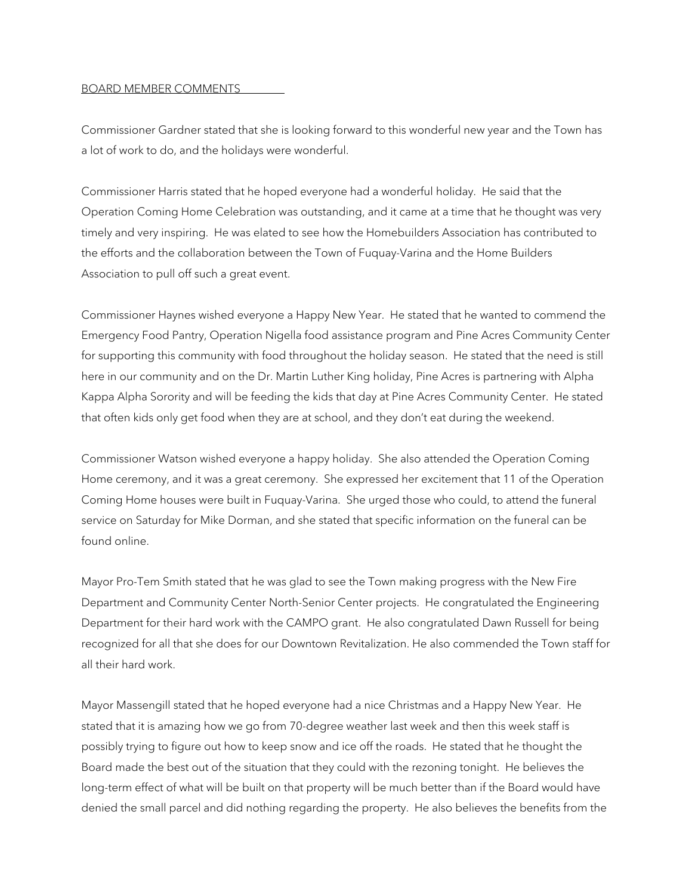### BOARD MEMBER COMMENTS

Commissioner Gardner stated that she is looking forward to this wonderful new year and the Town has a lot of work to do, and the holidays were wonderful.

Commissioner Harris stated that he hoped everyone had a wonderful holiday. He said that the Operation Coming Home Celebration was outstanding, and it came at a time that he thought was very timely and very inspiring. He was elated to see how the Homebuilders Association has contributed to the efforts and the collaboration between the Town of Fuquay-Varina and the Home Builders Association to pull off such a great event.

Commissioner Haynes wished everyone a Happy New Year. He stated that he wanted to commend the Emergency Food Pantry, Operation Nigella food assistance program and Pine Acres Community Center for supporting this community with food throughout the holiday season. He stated that the need is still here in our community and on the Dr. Martin Luther King holiday, Pine Acres is partnering with Alpha Kappa Alpha Sorority and will be feeding the kids that day at Pine Acres Community Center. He stated that often kids only get food when they are at school, and they don't eat during the weekend.

Commissioner Watson wished everyone a happy holiday. She also attended the Operation Coming Home ceremony, and it was a great ceremony. She expressed her excitement that 11 of the Operation Coming Home houses were built in Fuquay-Varina. She urged those who could, to attend the funeral service on Saturday for Mike Dorman, and she stated that specific information on the funeral can be found online.

Mayor Pro-Tem Smith stated that he was glad to see the Town making progress with the New Fire Department and Community Center North-Senior Center projects. He congratulated the Engineering Department for their hard work with the CAMPO grant. He also congratulated Dawn Russell for being recognized for all that she does for our Downtown Revitalization. He also commended the Town staff for all their hard work.

Mayor Massengill stated that he hoped everyone had a nice Christmas and a Happy New Year. He stated that it is amazing how we go from 70-degree weather last week and then this week staff is possibly trying to figure out how to keep snow and ice off the roads. He stated that he thought the Board made the best out of the situation that they could with the rezoning tonight. He believes the long-term effect of what will be built on that property will be much better than if the Board would have denied the small parcel and did nothing regarding the property. He also believes the benefits from the